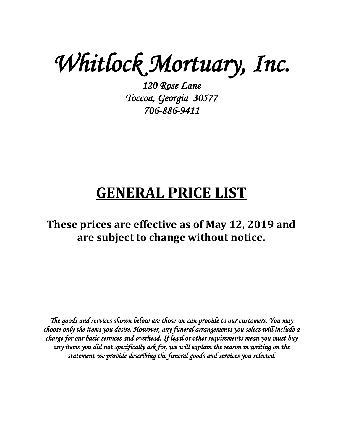*Whitlock Mortuary, Inc. 120 Rose Lane* 

*Toccoa, Georgia 30577 706-886-9411* 

# **GENERAL PRICE LIST**

# **These prices are effective as of May 12, 2019 and are subject to change without notice.**

*The goods and services shown below are those we can provide to our customers. You may choose only the items you desire. However, any funeral arrangements you select will include a charge for our basic services and overhead. If legal or other requirements mean you must buy any items you did not specifically ask for, we will explain the reason in writing on the statement we provide describing the funeral goods and services you selected.*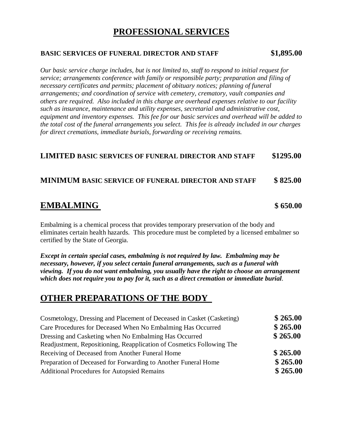# **PROFESSIONAL SERVICES**

### **BASIC SERVICES OF FUNERAL DIRECTOR AND STAFF \$1,895.00**

*Our basic service charge includes, but is not limited to, staff to respond to initial request for service; arrangements conference with family or responsible party; preparation and filing of necessary certificates and permits; placement of obituary notices; planning of funeral arrangements; and coordination of service with cemetery, crematory, vault companies and others are required. Also included in this charge are overhead expenses relative to our facility such as insurance, maintenance and utility expenses, secretarial and administrative cost, equipment and inventory expenses. This fee for our basic services and overhead will be added to the total cost of the funeral arrangements you select. This fee is already included in our charges for direct cremations, immediate burials, forwarding or receiving remains.*

### **LIMITED BASIC SERVICES OF FUNERAL DIRECTOR AND STAFF \$1295.00**

### **MINIMUM BASIC SERVICE OF FUNERAL DIRECTOR AND STAFF \$ 825.00**

# **EMBALMING \$ 650.00**

Embalming is a chemical process that provides temporary preservation of the body and eliminates certain health hazards. This procedure must be completed by a licensed embalmer so certified by the State of Georgia.

*Except in certain special cases, embalming is not required by law. Embalming may be necessary, however, if you select certain funeral arrangements, such as a funeral with viewing. If you do not want embalming, you usually have the right to choose an arrangement which does not require you to pay for it, such as a direct cremation or immediate burial*.

# **OTHER PREPARATIONS OF THE BODY**

| Cosmetology, Dressing and Placement of Deceased in Casket (Casketing) | \$265.00 |
|-----------------------------------------------------------------------|----------|
| Care Procedures for Deceased When No Embalming Has Occurred           | \$265.00 |
| Dressing and Casketing when No Embalming Has Occurred                 | \$265.00 |
| Readjustment, Repositioning, Reapplication of Cosmetics Following The |          |
| Receiving of Deceased from Another Funeral Home                       | \$265.00 |
| Preparation of Deceased for Forwarding to Another Funeral Home        | \$265.00 |
| <b>Additional Procedures for Autopsied Remains</b>                    | \$265.00 |
|                                                                       |          |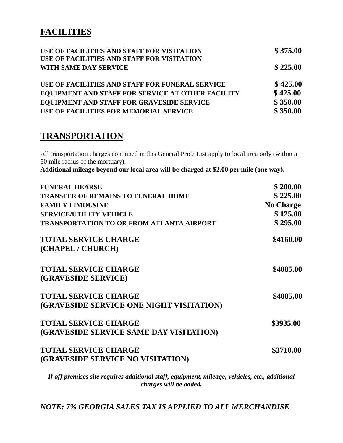# **FACILITIES**

| USE OF FACILITIES AND STAFF FOR VISITATION<br>USE OF FACILITIES AND STAFF FOR VISITATION | \$375.00 |
|------------------------------------------------------------------------------------------|----------|
| WITH SAME DAY SERVICE                                                                    | \$225.00 |
| USE OF FACILITIES AND STAFF FOR FUNERAL SERVICE                                          | \$425.00 |
| EQUIPMENT AND STAFF FOR SERVICE AT OTHER FACILITY                                        | \$425.00 |
| EQUIPMENT AND STAFF FOR GRAVESIDE SERVICE                                                | \$350.00 |
| USE OF FACILITIES FOR MEMORIAL SERVICE                                                   | \$350.00 |

# **TRANSPORTATION**

All transportation charges contained in this General Price List apply to local area only (within a 50 mile radius of the mortuary).

**Additional mileage beyond our local area will be charged at \$2.00 per mile (one way).**

| <b>FUNERAL HEARSE</b>                            | \$200.00         |
|--------------------------------------------------|------------------|
| <b>TRANSFER OF REMAINS TO FUNERAL HOME</b>       | \$225.00         |
| <b>FAMILY LIMOUSINE</b>                          | <b>No Charge</b> |
| <b>SERVICE/UTILITY VEHICLE</b>                   | \$125.00         |
| <b>TRANSPORTATION TO OR FROM ATLANTA AIRPORT</b> | \$295.00         |
| <b>TOTAL SERVICE CHARGE</b>                      | \$4160.00        |
| (CHAPEL / CHURCH)                                |                  |
| <b>TOTAL SERVICE CHARGE</b>                      | \$4085.00        |
| (GRAVESIDE SERVICE)                              |                  |
| <b>TOTAL SERVICE CHARGE</b>                      | \$4085.00        |
| (GRAVESIDE SERVICE ONE NIGHT VISITATION)         |                  |
| <b>TOTAL SERVICE CHARGE</b>                      | \$3935.00        |
| (GRAVESIDE SERVICE SAME DAY VISITATION)          |                  |
| <b>TOTAL SERVICE CHARGE</b>                      | \$3710.00        |
| (GRAVESIDE SERVICE NO VISITATION)                |                  |
|                                                  |                  |

*If off premises site requires additional staff, equipment, mileage, vehicles, etc., additional charges will be added.*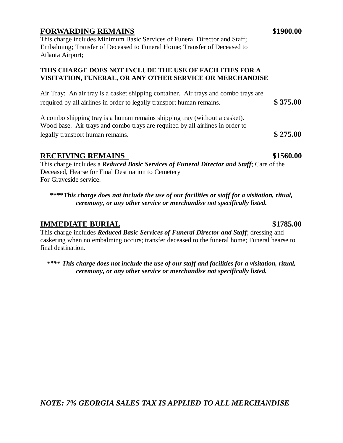### **FORWARDING REMAINS** \$1900.00

This charge includes Minimum Basic Services of Funeral Director and Staff; Embalming; Transfer of Deceased to Funeral Home; Transfer of Deceased to Atlanta Airport;

### **THIS CHARGE DOES NOT INCLUDE THE USE OF FACILITIES FOR A VISITATION, FUNERAL, OR ANY OTHER SERVICE OR MERCHANDISE**

Air Tray: An air tray is a casket shipping container. Air trays and combo trays are required by all airlines in order to legally transport human remains. **\$ 375.00**

A combo shipping tray is a human remains shipping tray (without a casket). Wood base. Air trays and combo trays are requited by all airlines in order to legally transport human remains. **\$ 275.00**

### RECEIVING REMAINS \$1560.00

This charge includes a *Reduced Basic Services of Funeral Director and Staff*; Care of the Deceased, Hearse for Final Destination to Cemetery For Graveside service.

**\*\*\*\****This charge does not include the use of our facilities or staff for a visitation, ritual, ceremony, or any other service or merchandise not specifically listed.*

### **IMMEDIATE BURIAL \$1785.00**

This charge includes *Reduced Basic Services of Funeral Director and Staff*; dressing and casketing when no embalming occurs; transfer deceased to the funeral home; Funeral hearse to final destination.

*\*\*\*\* This charge does not include the use of our staff and facilities for a visitation, ritual, ceremony, or any other service or merchandise not specifically listed.*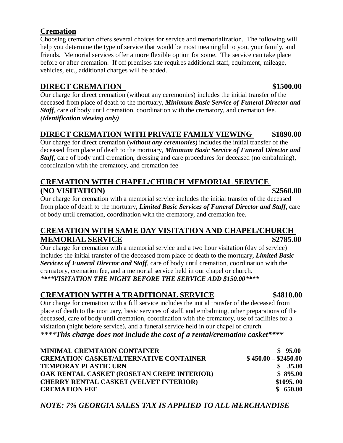# **Cremation**

Choosing cremation offers several choices for service and memorialization. The following will help you determine the type of service that would be most meaningful to you, your family, and friends. Memorial services offer a more flexible option for some. The service can take place before or after cremation. If off premises site requires additional staff, equipment, mileage, vehicles, etc., additional charges will be added.

## **DIRECT CREMATION** \$1500.00

Our charge for direct cremation (without any ceremonies) includes the initial transfer of the deceased from place of death to the mortuary, *Minimum Basic Service of Funeral Director and Staff*, care of body until cremation, coordination with the crematory, and cremation fee. *(Identification viewing only)*

# **DIRECT CREMATION WITH PRIVATE FAMILY VIEWING \$1890.00**

Our charge for direct cremation (*without any ceremonies*) includes the initial transfer of the deceased from place of death to the mortuary, *Minimum Basic Service of Funeral Director and Staff*, care of body until cremation, dressing and care procedures for deceased (no embalming), coordination with the crematory, and cremation fee

# **CREMATION WITH CHAPEL/CHURCH MEMORIAL SERVICE (NO VISITATION) \$2560.00**

Our charge for cremation with a memorial service includes the initial transfer of the deceased from place of death to the mortuary**,** *Limited Basic Services of Funeral Director and Staff*, care of body until cremation, coordination with the crematory, and cremation fee.

# **CREMATION WITH SAME DAY VISITATION AND CHAPEL/CHURCH MEMORIAL SERVICE** \$2785.00

Our charge for cremation with a memorial service and a two hour visitation (day of service) includes the initial transfer of the deceased from place of death to the mortuary**,** *Limited Basic Services of Funeral Director and Staff*, care of body until cremation, coordination with the crematory, cremation fee, and a memorial service held in our chapel or church. *\*\*\*\*VISITATION THE NIGHT BEFORE THE SERVICE ADD \$150.00\*\*\*\**

# **CREMATION WITH A TRADITIONAL SERVICE \$4810.00**

Our charge for cremation with a full service includes the initial transfer of the deceased from place of death to the mortuary, basic services of staff, and embalming, other preparations of the deceased, care of body until cremation, coordination with the crematory, use of facilities for a visitation (night before service), and a funeral service held in our chapel or church. *\*\*\*\*This charge does not include the cost of a rental/cremation casket\*\*\*\**

| <b>MINIMAL CREMTAION CONTAINER</b>            | \$95.00              |
|-----------------------------------------------|----------------------|
| <b>CREMATION CASKET/ALTERNATIVE CONTAINER</b> | $$450.00 - $2450.00$ |
| <b>TEMPORAY PLASTIC URN</b>                   | \$35.00              |
| OAK RENTAL CASKET (ROSETAN CREPE INTERIOR)    | \$895.00             |
| <b>CHERRY RENTAL CASKET (VELVET INTERIOR)</b> | \$1095.00            |
| <b>CREMATION FEE</b>                          | \$650.00             |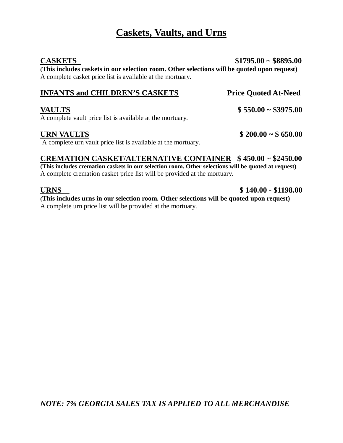# **Caskets, Vaults, and Urns**

**(This includes caskets in our selection room. Other selections will be quoted upon request)**  A complete casket price list is available at the mortuary.

### **INFANTS and CHILDREN'S CASKETS Price Quoted At-Need**

### **VAULTS \$ 550.00 ~ \$3975.00**

A complete vault price list is available at the mortuary.

A complete urn vault price list is available at the mortuary.

# **CREMATION CASKET/ALTERNATIVE CONTAINER \$ 450.00 ~ \$2450.00 (This includes cremation caskets in our selection room. Other selections will be quoted at request)**

A complete cremation casket price list will be provided at the mortuary.

**URNS \$ 140.00 - \$1198.00** 

**(This includes urns in our selection room. Other selections will be quoted upon request)** A complete urn price list will be provided at the mortuary.

### **CASKETS \$1795.00 ~ \$8895.00**

**URN VAULTS \$ 200.00 ~ \$ 650.00**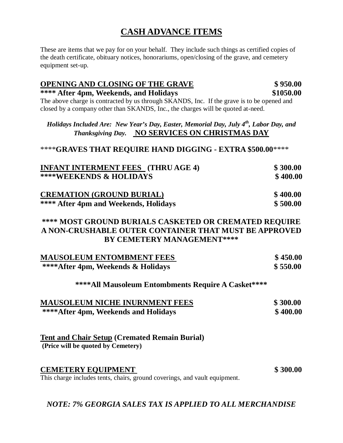# **CASH ADVANCE ITEMS**

These are items that we pay for on your behalf. They include such things as certified copies of the death certificate, obituary notices, honorariums, open/closing of the grave, and cemetery equipment set-up.

### **OPENING AND CLOSING OF THE GRAVE \$ 950.00**

**\*\*\*\* After 4pm, Weekends, and Holidays \$1050.00** The above charge is contracted by us through SKANDS, Inc. If the grave is to be opened and closed by a company other than SKANDS, Inc., the charges will be quoted at-need.

*Holidays Included Are: New Year's Day, Easter, Memorial Day, July 4th, Labor Day, and Thanksgiving Day.* **NO SERVICES ON CHRISTMAS DAY**

### \*\*\*\***GRAVES THAT REQUIRE HAND DIGGING - EXTRA \$500.00**\*\*\*\*

| <b>INFANT INTERMENT FEES</b> (THRU AGE 4) | \$300.00 |
|-------------------------------------------|----------|
| <b>****WEEKENDS &amp; HOLIDAYS</b>        | \$400.00 |
| <b>CREMATION (GROUND BURIAL)</b>          | \$400.00 |
| **** After 4pm and Weekends, Holidays     | \$500.00 |

### **\*\*\*\* MOST GROUND BURIALS CASKETED OR CREMATED REQUIRE A NON-CRUSHABLE OUTER CONTAINER THAT MUST BE APPROVED BY CEMETERY MANAGEMENT\*\*\*\***

| <b>MAUSOLEUM ENTOMBMENT FEES</b>   | \$450.00 |
|------------------------------------|----------|
| ****After 4pm, Weekends & Holidays | \$550.00 |

### **\*\*\*\*All Mausoleum Entombments Require A Casket\*\*\*\***

| <b>MAUSOLEUM NICHE INURNMENT FEES</b> | \$300.00 |
|---------------------------------------|----------|
| ****After 4pm, Weekends and Holidays  | \$400.00 |

### **Tent and Chair Setup (Cremated Remain Burial) (Price will be quoted by Cemetery)**

### **CEMETERY EQUIPMENT \$ 300.00**

This charge includes tents, chairs, ground coverings, and vault equipment.